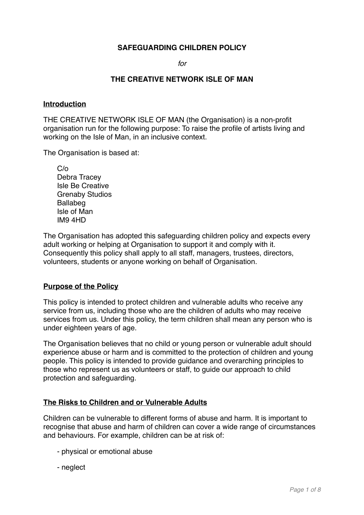# **SAFEGUARDING CHILDREN POLICY**

*for*

## **THE CREATIVE NETWORK ISLE OF MAN**

### **Introduction**

THE CREATIVE NETWORK ISLE OF MAN (the Organisation) is a non-profit organisation run for the following purpose: To raise the profile of artists living and working on the Isle of Man, in an inclusive context.

The Organisation is based at:

C/o Debra Tracey Isle Be Creative Grenaby Studios Ballabeg Isle of Man IM9 4HD

The Organisation has adopted this safeguarding children policy and expects every adult working or helping at Organisation to support it and comply with it. Consequently this policy shall apply to all staff, managers, trustees, directors, volunteers, students or anyone working on behalf of Organisation.

### **Purpose of the Policy**

This policy is intended to protect children and vulnerable adults who receive any service from us, including those who are the children of adults who may receive services from us. Under this policy, the term children shall mean any person who is under eighteen years of age.

The Organisation believes that no child or young person or vulnerable adult should experience abuse or harm and is committed to the protection of children and young people. This policy is intended to provide guidance and overarching principles to those who represent us as volunteers or staff, to guide our approach to child protection and safeguarding.

### **The Risks to Children and or Vulnerable Adults**

Children can be vulnerable to different forms of abuse and harm. It is important to recognise that abuse and harm of children can cover a wide range of circumstances and behaviours. For example, children can be at risk of:

- physical or emotional abuse
- neglect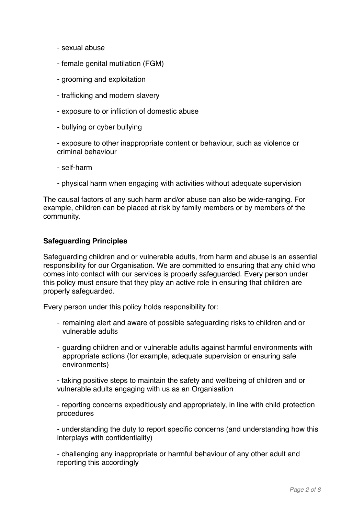- sexual abuse
- female genital mutilation (FGM)
- grooming and exploitation
- trafficking and modern slavery
- exposure to or infliction of domestic abuse
- bullying or cyber bullying

- exposure to other inappropriate content or behaviour, such as violence or criminal behaviour

- self-harm
- physical harm when engaging with activities without adequate supervision

The causal factors of any such harm and/or abuse can also be wide-ranging. For example, children can be placed at risk by family members or by members of the community.

### **Safeguarding Principles**

Safeguarding children and or vulnerable adults, from harm and abuse is an essential responsibility for our Organisation. We are committed to ensuring that any child who comes into contact with our services is properly safeguarded. Every person under this policy must ensure that they play an active role in ensuring that children are properly safeguarded.

Every person under this policy holds responsibility for:

- remaining alert and aware of possible safeguarding risks to children and or vulnerable adults
- guarding children and or vulnerable adults against harmful environments with appropriate actions (for example, adequate supervision or ensuring safe environments)

- taking positive steps to maintain the safety and wellbeing of children and or vulnerable adults engaging with us as an Organisation

- reporting concerns expeditiously and appropriately, in line with child protection procedures

- understanding the duty to report specific concerns (and understanding how this interplays with confidentiality)

- challenging any inappropriate or harmful behaviour of any other adult and reporting this accordingly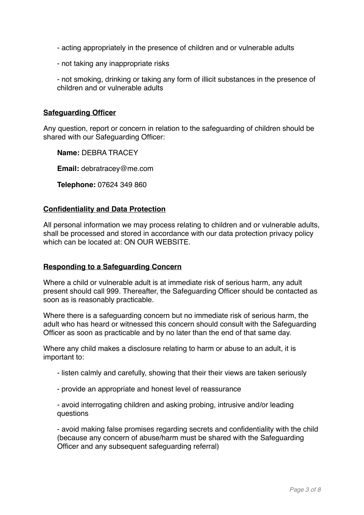- acting appropriately in the presence of children and or vulnerable adults
- not taking any inappropriate risks

- not smoking, drinking or taking any form of illicit substances in the presence of children and or vulnerable adults

## **Safeguarding Officer**

Any question, report or concern in relation to the safeguarding of children should be shared with our Safeguarding Officer:

**Name:** DEBRA TRACEY

**Email:** debratracey@me.com

**Telephone:** 07624 349 860

### **Confidentiality and Data Protection**

All personal information we may process relating to children and or vulnerable adults, shall be processed and stored in accordance with our data protection privacy policy which can be located at: ON OUR WEBSITE.

### **Responding to a Safeguarding Concern**

Where a child or vulnerable adult is at immediate risk of serious harm, any adult present should call 999. Thereafter, the Safeguarding Officer should be contacted as soon as is reasonably practicable.

Where there is a safeguarding concern but no immediate risk of serious harm, the adult who has heard or witnessed this concern should consult with the Safeguarding Officer as soon as practicable and by no later than the end of that same day.

Where any child makes a disclosure relating to harm or abuse to an adult, it is important to:

- listen calmly and carefully, showing that their their views are taken seriously
- provide an appropriate and honest level of reassurance
- avoid interrogating children and asking probing, intrusive and/or leading questions

- avoid making false promises regarding secrets and confidentiality with the child (because any concern of abuse/harm must be shared with the Safeguarding Officer and any subsequent safeguarding referral)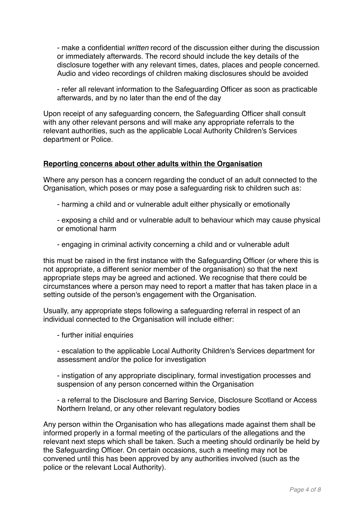- make a confidential *written* record of the discussion either during the discussion or immediately afterwards. The record should include the key details of the disclosure together with any relevant times, dates, places and people concerned. Audio and video recordings of children making disclosures should be avoided

- refer all relevant information to the Safeguarding Officer as soon as practicable afterwards, and by no later than the end of the day

Upon receipt of any safeguarding concern, the Safeguarding Officer shall consult with any other relevant persons and will make any appropriate referrals to the relevant authorities, such as the applicable Local Authority Children's Services department or Police.

## **Reporting concerns about other adults within the Organisation**

Where any person has a concern regarding the conduct of an adult connected to the Organisation, which poses or may pose a safeguarding risk to children such as:

- harming a child and or vulnerable adult either physically or emotionally
- exposing a child and or vulnerable adult to behaviour which may cause physical or emotional harm
- engaging in criminal activity concerning a child and or vulnerable adult

this must be raised in the first instance with the Safeguarding Officer (or where this is not appropriate, a different senior member of the organisation) so that the next appropriate steps may be agreed and actioned. We recognise that there could be circumstances where a person may need to report a matter that has taken place in a setting outside of the person's engagement with the Organisation.

Usually, any appropriate steps following a safeguarding referral in respect of an individual connected to the Organisation will include either:

- further initial enquiries
- escalation to the applicable Local Authority Children's Services department for assessment and/or the police for investigation
- instigation of any appropriate disciplinary, formal investigation processes and suspension of any person concerned within the Organisation
- a referral to the Disclosure and Barring Service, Disclosure Scotland or Access Northern Ireland, or any other relevant regulatory bodies

Any person within the Organisation who has allegations made against them shall be informed properly in a formal meeting of the particulars of the allegations and the relevant next steps which shall be taken. Such a meeting should ordinarily be held by the Safeguarding Officer. On certain occasions, such a meeting may not be convened until this has been approved by any authorities involved (such as the police or the relevant Local Authority).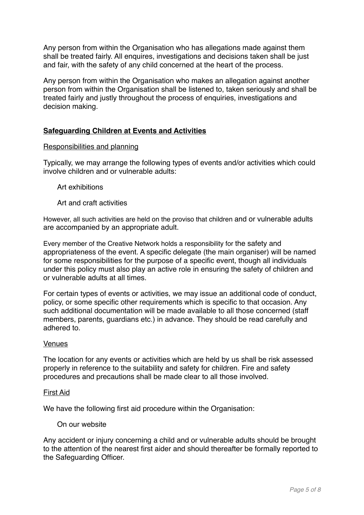Any person from within the Organisation who has allegations made against them shall be treated fairly. All enquires, investigations and decisions taken shall be just and fair, with the safety of any child concerned at the heart of the process.

Any person from within the Organisation who makes an allegation against another person from within the Organisation shall be listened to, taken seriously and shall be treated fairly and justly throughout the process of enquiries, investigations and decision making.

# **Safeguarding Children at Events and Activities**

## Responsibilities and planning

Typically, we may arrange the following types of events and/or activities which could involve children and or vulnerable adults:

## Art exhibitions

Art and craft activities

However, all such activities are held on the proviso that children and or vulnerable adults are accompanied by an appropriate adult.

Every member of the Creative Network holds a responsibility for the safety and appropriateness of the event. A specific delegate (the main organiser) will be named for some responsibilities for the purpose of a specific event, though all individuals under this policy must also play an active role in ensuring the safety of children and or vulnerable adults at all times.

For certain types of events or activities, we may issue an additional code of conduct, policy, or some specific other requirements which is specific to that occasion. Any such additional documentation will be made available to all those concerned (staff members, parents, guardians etc.) in advance. They should be read carefully and adhered to.

### Venues

The location for any events or activities which are held by us shall be risk assessed properly in reference to the suitability and safety for children. Fire and safety procedures and precautions shall be made clear to all those involved.

### First Aid

We have the following first aid procedure within the Organisation:

## On our website

Any accident or injury concerning a child and or vulnerable adults should be brought to the attention of the nearest first aider and should thereafter be formally reported to the Safeguarding Officer.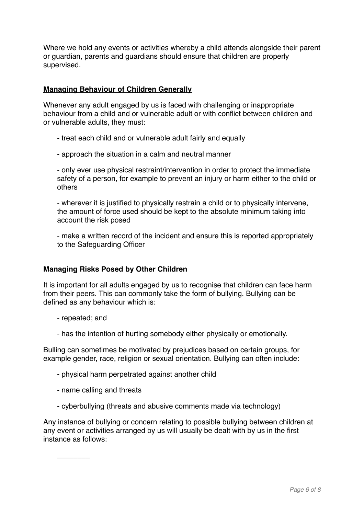Where we hold any events or activities whereby a child attends alongside their parent or guardian, parents and guardians should ensure that children are properly supervised.

# **Managing Behaviour of Children Generally**

Whenever any adult engaged by us is faced with challenging or inappropriate behaviour from a child and or vulnerable adult or with conflict between children and or vulnerable adults, they must:

- treat each child and or vulnerable adult fairly and equally

- approach the situation in a calm and neutral manner

- only ever use physical restraint/intervention in order to protect the immediate safety of a person, for example to prevent an injury or harm either to the child or others

- wherever it is justified to physically restrain a child or to physically intervene, the amount of force used should be kept to the absolute minimum taking into account the risk posed

- make a written record of the incident and ensure this is reported appropriately to the Safeguarding Officer

## **Managing Risks Posed by Other Children**

It is important for all adults engaged by us to recognise that children can face harm from their peers. This can commonly take the form of bullying. Bullying can be defined as any behaviour which is:

- repeated; and

\_\_\_\_\_\_\_\_

- has the intention of hurting somebody either physically or emotionally.

Bulling can sometimes be motivated by prejudices based on certain groups, for example gender, race, religion or sexual orientation. Bullying can often include:

- physical harm perpetrated against another child
- name calling and threats
- cyberbullying (threats and abusive comments made via technology)

Any instance of bullying or concern relating to possible bullying between children at any event or activities arranged by us will usually be dealt with by us in the first instance as follows: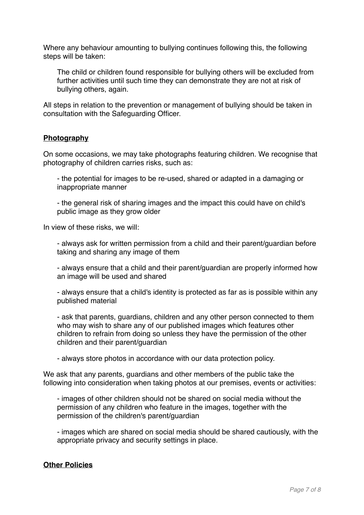Where any behaviour amounting to bullying continues following this, the following steps will be taken:

The child or children found responsible for bullying others will be excluded from further activities until such time they can demonstrate they are not at risk of bullying others, again.

All steps in relation to the prevention or management of bullying should be taken in consultation with the Safeguarding Officer.

## **Photography**

On some occasions, we may take photographs featuring children. We recognise that photography of children carries risks, such as:

- the potential for images to be re-used, shared or adapted in a damaging or inappropriate manner

- the general risk of sharing images and the impact this could have on child's public image as they grow older

In view of these risks, we will:

- always ask for written permission from a child and their parent/guardian before taking and sharing any image of them

- always ensure that a child and their parent/guardian are properly informed how an image will be used and shared

- always ensure that a child's identity is protected as far as is possible within any published material

- ask that parents, guardians, children and any other person connected to them who may wish to share any of our published images which features other children to refrain from doing so unless they have the permission of the other children and their parent/guardian

- always store photos in accordance with our data protection policy.

We ask that any parents, guardians and other members of the public take the following into consideration when taking photos at our premises, events or activities:

- images of other children should not be shared on social media without the permission of any children who feature in the images, together with the permission of the children's parent/guardian

- images which are shared on social media should be shared cautiously, with the appropriate privacy and security settings in place.

# **Other Policies**